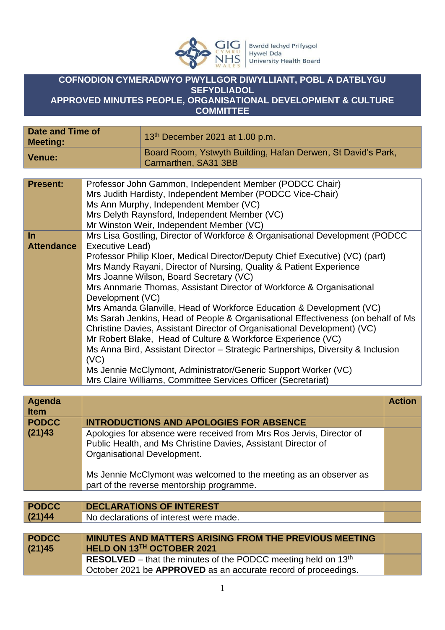

## **COFNODION CYMERADWYO PWYLLGOR DIWYLLIANT, POBL A DATBLYGU SEFYDLIADOL APPROVED MINUTES PEOPLE, ORGANISATIONAL DEVELOPMENT & CULTURE**

**COMMITTEE**

| Date and Time of<br><b>Meeting:</b> | 13 <sup>th</sup> December 2021 at 1.00 p.m.                                          |
|-------------------------------------|--------------------------------------------------------------------------------------|
| <b>Venue:</b>                       | Board Room, Ystwyth Building, Hafan Derwen, St David's Park,<br>Carmarthen, SA31 3BB |
|                                     |                                                                                      |

| <b>Present:</b>   | Professor John Gammon, Independent Member (PODCC Chair)                          |
|-------------------|----------------------------------------------------------------------------------|
|                   | Mrs Judith Hardisty, Independent Member (PODCC Vice-Chair)                       |
|                   | Ms Ann Murphy, Independent Member (VC)                                           |
|                   | Mrs Delyth Raynsford, Independent Member (VC)                                    |
|                   | Mr Winston Weir, Independent Member (VC)                                         |
| $\ln$             | Mrs Lisa Gostling, Director of Workforce & Organisational Development (PODCC     |
| <b>Attendance</b> | Executive Lead)                                                                  |
|                   | Professor Philip Kloer, Medical Director/Deputy Chief Executive) (VC) (part)     |
|                   | Mrs Mandy Rayani, Director of Nursing, Quality & Patient Experience              |
|                   | Mrs Joanne Wilson, Board Secretary (VC)                                          |
|                   | Mrs Annmarie Thomas, Assistant Director of Workforce & Organisational            |
|                   | Development (VC)                                                                 |
|                   | Mrs Amanda Glanville, Head of Workforce Education & Development (VC)             |
|                   | Ms Sarah Jenkins, Head of People & Organisational Effectiveness (on behalf of Ms |
|                   | Christine Davies, Assistant Director of Organisational Development) (VC)         |
|                   | Mr Robert Blake, Head of Culture & Workforce Experience (VC)                     |
|                   | Ms Anna Bird, Assistant Director – Strategic Partnerships, Diversity & Inclusion |
|                   | (VC)                                                                             |
|                   | Ms Jennie McClymont, Administrator/Generic Support Worker (VC)                   |
|                   | Mrs Claire Williams, Committee Services Officer (Secretariat)                    |

| Agenda<br><b>Item</b>  |                                                                                                                                                                                                                                           | <b>Action</b> |
|------------------------|-------------------------------------------------------------------------------------------------------------------------------------------------------------------------------------------------------------------------------------------|---------------|
| <b>PODCC</b>           | <b>INTRODUCTIONS AND APOLOGIES FOR ABSENCE</b>                                                                                                                                                                                            |               |
| (21)43                 | Apologies for absence were received from Mrs Ros Jervis, Director of<br>Public Health, and Ms Christine Davies, Assistant Director of<br>Organisational Development.<br>Ms Jennie McClymont was welcomed to the meeting as an observer as |               |
|                        | part of the reverse mentorship programme.                                                                                                                                                                                                 |               |
|                        |                                                                                                                                                                                                                                           |               |
| <b>PODCC</b>           | <b>DECLARATIONS OF INTEREST</b>                                                                                                                                                                                                           |               |
| (21)44                 | No declarations of interest were made.                                                                                                                                                                                                    |               |
|                        |                                                                                                                                                                                                                                           |               |
| <b>PODCC</b><br>(21)45 | <b>MINUTES AND MATTERS ARISING FROM THE PREVIOUS MEETING</b><br>HELD ON 13TH OCTOBER 2021                                                                                                                                                 |               |
|                        | <b>RESOLVED</b> – that the minutes of the PODCC meeting held on $13th$<br>October 2021 be <b>APPROVED</b> as an accurate record of proceedings.                                                                                           |               |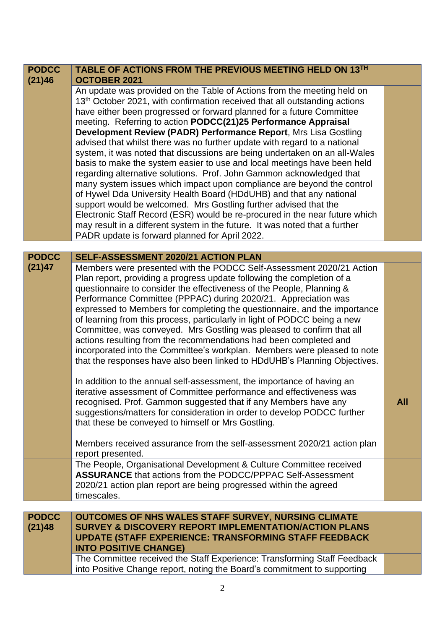| <b>PODCC</b><br>(21)46     | TABLE OF ACTIONS FROM THE PREVIOUS MEETING HELD ON 13TH<br><b>OCTOBER 2021</b>                                                                                                                                                                                                                                                                                                                                                                                                                                                                                                                                                                                                                                                                                                                                                                                                                                                                                                                                                                                                                                                      |            |
|----------------------------|-------------------------------------------------------------------------------------------------------------------------------------------------------------------------------------------------------------------------------------------------------------------------------------------------------------------------------------------------------------------------------------------------------------------------------------------------------------------------------------------------------------------------------------------------------------------------------------------------------------------------------------------------------------------------------------------------------------------------------------------------------------------------------------------------------------------------------------------------------------------------------------------------------------------------------------------------------------------------------------------------------------------------------------------------------------------------------------------------------------------------------------|------------|
|                            | An update was provided on the Table of Actions from the meeting held on<br>13 <sup>th</sup> October 2021, with confirmation received that all outstanding actions<br>have either been progressed or forward planned for a future Committee<br>meeting. Referring to action PODCC(21)25 Performance Appraisal<br>Development Review (PADR) Performance Report, Mrs Lisa Gostling<br>advised that whilst there was no further update with regard to a national<br>system, it was noted that discussions are being undertaken on an all-Wales<br>basis to make the system easier to use and local meetings have been held<br>regarding alternative solutions. Prof. John Gammon acknowledged that<br>many system issues which impact upon compliance are beyond the control<br>of Hywel Dda University Health Board (HDdUHB) and that any national<br>support would be welcomed. Mrs Gostling further advised that the<br>Electronic Staff Record (ESR) would be re-procured in the near future which<br>may result in a different system in the future. It was noted that a further<br>PADR update is forward planned for April 2022. |            |
| <b>PODCC</b>               | SELF-ASSESSMENT 2020/21 ACTION PLAN                                                                                                                                                                                                                                                                                                                                                                                                                                                                                                                                                                                                                                                                                                                                                                                                                                                                                                                                                                                                                                                                                                 |            |
| (21)47                     | Members were presented with the PODCC Self-Assessment 2020/21 Action<br>Plan report, providing a progress update following the completion of a<br>questionnaire to consider the effectiveness of the People, Planning &<br>Performance Committee (PPPAC) during 2020/21. Appreciation was<br>expressed to Members for completing the questionnaire, and the importance<br>of learning from this process, particularly in light of PODCC being a new<br>Committee, was conveyed. Mrs Gostling was pleased to confirm that all<br>actions resulting from the recommendations had been completed and<br>incorporated into the Committee's workplan. Members were pleased to note<br>that the responses have also been linked to HDdUHB's Planning Objectives.<br>In addition to the annual self-assessment, the importance of having an<br>iterative assessment of Committee performance and effectiveness was<br>recognised. Prof. Gammon suggested that if any Members have any<br>suggestions/matters for consideration in order to develop PODCC further<br>that these be conveyed to himself or Mrs Gostling.                     | <b>All</b> |
|                            | Members received assurance from the self-assessment 2020/21 action plan<br>report presented.                                                                                                                                                                                                                                                                                                                                                                                                                                                                                                                                                                                                                                                                                                                                                                                                                                                                                                                                                                                                                                        |            |
|                            | The People, Organisational Development & Culture Committee received<br><b>ASSURANCE</b> that actions from the PODCC/PPPAC Self-Assessment<br>2020/21 action plan report are being progressed within the agreed<br>timescales.                                                                                                                                                                                                                                                                                                                                                                                                                                                                                                                                                                                                                                                                                                                                                                                                                                                                                                       |            |
| <b>PODCC</b><br>$121$ $AB$ | <b>OUTCOMES OF NHS WALES STAFF SURVEY, NURSING CLIMATE</b><br>SURVEY & DISCOVERY REPORT IMPLEMENTATION/ACTION PLANS                                                                                                                                                                                                                                                                                                                                                                                                                                                                                                                                                                                                                                                                                                                                                                                                                                                                                                                                                                                                                 |            |

| <b>PODCC</b><br>(21)48 | <b>OUTCOMES OF NHS WALES STAFF SURVEY, NURSING CLIMATE</b><br>SURVEY & DISCOVERY REPORT IMPLEMENTATION/ACTION PLANS<br><b>UPDATE (STAFF EXPERIENCE: TRANSFORMING STAFF FEEDBACK)</b><br><b>INTO POSITIVE CHANGE)</b> |  |
|------------------------|----------------------------------------------------------------------------------------------------------------------------------------------------------------------------------------------------------------------|--|
|                        | The Committee received the Staff Experience: Transforming Staff Feedback<br>into Positive Change report, noting the Board's commitment to supporting                                                                 |  |
|                        |                                                                                                                                                                                                                      |  |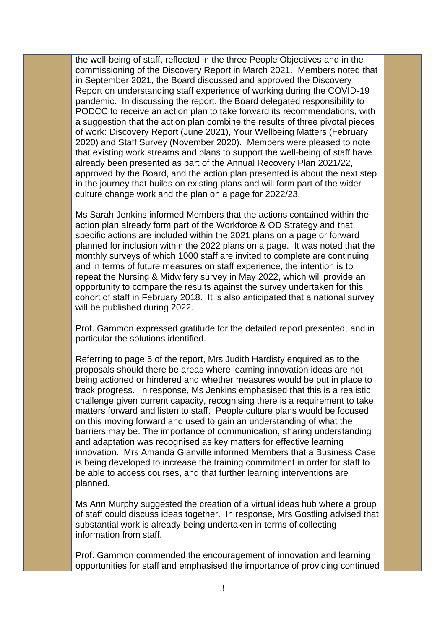the well-being of staff, reflected in the three People Objectives and in the commissioning of the Discovery Report in March 2021. Members noted that in September 2021, the Board discussed and approved the Discovery Report on understanding staff experience of working during the COVID-19 pandemic. In discussing the report, the Board delegated responsibility to PODCC to receive an action plan to take forward its recommendations, with a suggestion that the action plan combine the results of three pivotal pieces of work: Discovery Report (June 2021), Your Wellbeing Matters (February 2020) and Staff Survey (November 2020). Members were pleased to note that existing work streams and plans to support the well-being of staff have already been presented as part of the Annual Recovery Plan 2021/22, approved by the Board, and the action plan presented is about the next step in the journey that builds on existing plans and will form part of the wider culture change work and the plan on a page for 2022/23.

Ms Sarah Jenkins informed Members that the actions contained within the action plan already form part of the Workforce & OD Strategy and that specific actions are included within the 2021 plans on a page or forward planned for inclusion within the 2022 plans on a page. It was noted that the monthly surveys of which 1000 staff are invited to complete are continuing and in terms of future measures on staff experience, the intention is to repeat the Nursing & Midwifery survey in May 2022, which will provide an opportunity to compare the results against the survey undertaken for this cohort of staff in February 2018. It is also anticipated that a national survey will be published during 2022.

Prof. Gammon expressed gratitude for the detailed report presented, and in particular the solutions identified.

Referring to page 5 of the report, Mrs Judith Hardisty enquired as to the proposals should there be areas where learning innovation ideas are not being actioned or hindered and whether measures would be put in place to track progress. In response, Ms Jenkins emphasised that this is a realistic challenge given current capacity, recognising there is a requirement to take matters forward and listen to staff. People culture plans would be focused on this moving forward and used to gain an understanding of what the barriers may be. The importance of communication, sharing understanding and adaptation was recognised as key matters for effective learning innovation. Mrs Amanda Glanville informed Members that a Business Case is being developed to increase the training commitment in order for staff to be able to access courses, and that further learning interventions are planned.

Ms Ann Murphy suggested the creation of a virtual ideas hub where a group of staff could discuss ideas together. In response, Mrs Gostling advised that substantial work is already being undertaken in terms of collecting information from staff.

Prof. Gammon commended the encouragement of innovation and learning opportunities for staff and emphasised the importance of providing continued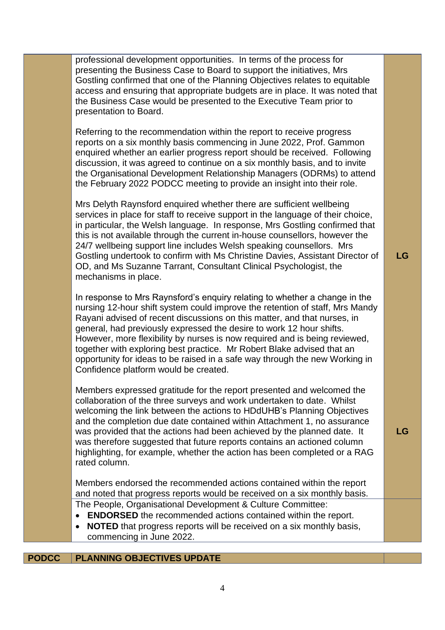| professional development opportunities. In terms of the process for<br>presenting the Business Case to Board to support the initiatives, Mrs<br>Gostling confirmed that one of the Planning Objectives relates to equitable<br>access and ensuring that appropriate budgets are in place. It was noted that<br>the Business Case would be presented to the Executive Team prior to<br>presentation to Board.                                                                                                                                                                                   |    |
|------------------------------------------------------------------------------------------------------------------------------------------------------------------------------------------------------------------------------------------------------------------------------------------------------------------------------------------------------------------------------------------------------------------------------------------------------------------------------------------------------------------------------------------------------------------------------------------------|----|
| Referring to the recommendation within the report to receive progress<br>reports on a six monthly basis commencing in June 2022, Prof. Gammon<br>enquired whether an earlier progress report should be received. Following<br>discussion, it was agreed to continue on a six monthly basis, and to invite<br>the Organisational Development Relationship Managers (ODRMs) to attend<br>the February 2022 PODCC meeting to provide an insight into their role.                                                                                                                                  |    |
| Mrs Delyth Raynsford enquired whether there are sufficient wellbeing<br>services in place for staff to receive support in the language of their choice,<br>in particular, the Welsh language. In response, Mrs Gostling confirmed that<br>this is not available through the current in-house counsellors, however the<br>24/7 wellbeing support line includes Welsh speaking counsellors. Mrs<br>Gostling undertook to confirm with Ms Christine Davies, Assistant Director of<br>OD, and Ms Suzanne Tarrant, Consultant Clinical Psychologist, the<br>mechanisms in place.                    | LG |
| In response to Mrs Raynsford's enquiry relating to whether a change in the<br>nursing 12-hour shift system could improve the retention of staff, Mrs Mandy<br>Rayani advised of recent discussions on this matter, and that nurses, in<br>general, had previously expressed the desire to work 12 hour shifts.<br>However, more flexibility by nurses is now required and is being reviewed,<br>together with exploring best practice. Mr Robert Blake advised that an<br>opportunity for ideas to be raised in a safe way through the new Working in<br>Confidence platform would be created. |    |
| Members expressed gratitude for the report presented and welcomed the<br>collaboration of the three surveys and work undertaken to date. Whilst<br>welcoming the link between the actions to HDdUHB's Planning Objectives<br>and the completion due date contained within Attachment 1, no assurance<br>was provided that the actions had been achieved by the planned date. It<br>was therefore suggested that future reports contains an actioned column<br>highlighting, for example, whether the action has been completed or a RAG<br>rated column.                                       | LG |
| Members endorsed the recommended actions contained within the report<br>and noted that progress reports would be received on a six monthly basis.                                                                                                                                                                                                                                                                                                                                                                                                                                              |    |
| The People, Organisational Development & Culture Committee:<br><b>ENDORSED</b> the recommended actions contained within the report.<br>$\bullet$<br><b>NOTED</b> that progress reports will be received on a six monthly basis,<br>$\bullet$<br>commencing in June 2022.                                                                                                                                                                                                                                                                                                                       |    |

## **PODCC PLANNING OBJECTIVES UPDATE**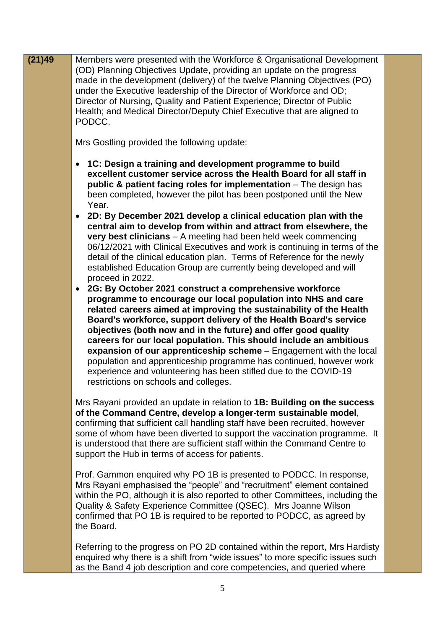| (21)49 | Members were presented with the Workforce & Organisational Development<br>(OD) Planning Objectives Update, providing an update on the progress<br>made in the development (delivery) of the twelve Planning Objectives (PO)<br>under the Executive leadership of the Director of Workforce and OD;<br>Director of Nursing, Quality and Patient Experience; Director of Public<br>Health; and Medical Director/Deputy Chief Executive that are aligned to<br>PODCC.                                                                                                                                                                                                       |  |
|--------|--------------------------------------------------------------------------------------------------------------------------------------------------------------------------------------------------------------------------------------------------------------------------------------------------------------------------------------------------------------------------------------------------------------------------------------------------------------------------------------------------------------------------------------------------------------------------------------------------------------------------------------------------------------------------|--|
|        | Mrs Gostling provided the following update:                                                                                                                                                                                                                                                                                                                                                                                                                                                                                                                                                                                                                              |  |
|        | 1C: Design a training and development programme to build<br>excellent customer service across the Health Board for all staff in<br>public & patient facing roles for implementation – The design has<br>been completed, however the pilot has been postponed until the New<br>Year.<br>2D: By December 2021 develop a clinical education plan with the<br>$\bullet$                                                                                                                                                                                                                                                                                                      |  |
|        | central aim to develop from within and attract from elsewhere, the<br>very best clinicians - A meeting had been held week commencing<br>06/12/2021 with Clinical Executives and work is continuing in terms of the<br>detail of the clinical education plan. Terms of Reference for the newly<br>established Education Group are currently being developed and will<br>proceed in 2022.                                                                                                                                                                                                                                                                                  |  |
|        | • 2G: By October 2021 construct a comprehensive workforce<br>programme to encourage our local population into NHS and care<br>related careers aimed at improving the sustainability of the Health<br>Board's workforce, support delivery of the Health Board's service<br>objectives (both now and in the future) and offer good quality<br>careers for our local population. This should include an ambitious<br>expansion of our apprenticeship scheme - Engagement with the local<br>population and apprenticeship programme has continued, however work<br>experience and volunteering has been stifled due to the COVID-19<br>restrictions on schools and colleges. |  |
|        | Mrs Rayani provided an update in relation to 1B: Building on the success<br>of the Command Centre, develop a longer-term sustainable model,<br>confirming that sufficient call handling staff have been recruited, however<br>some of whom have been diverted to support the vaccination programme. It<br>is understood that there are sufficient staff within the Command Centre to<br>support the Hub in terms of access for patients.                                                                                                                                                                                                                                 |  |
|        | Prof. Gammon enquired why PO 1B is presented to PODCC. In response,<br>Mrs Rayani emphasised the "people" and "recruitment" element contained<br>within the PO, although it is also reported to other Committees, including the<br>Quality & Safety Experience Committee (QSEC). Mrs Joanne Wilson<br>confirmed that PO 1B is required to be reported to PODCC, as agreed by<br>the Board.                                                                                                                                                                                                                                                                               |  |
|        | Referring to the progress on PO 2D contained within the report, Mrs Hardisty<br>enquired why there is a shift from "wide issues" to more specific issues such<br>as the Band 4 job description and core competencies, and queried where                                                                                                                                                                                                                                                                                                                                                                                                                                  |  |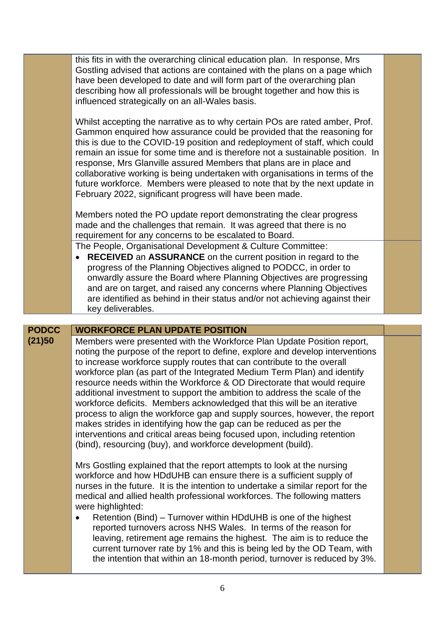|              | this fits in with the overarching clinical education plan. In response, Mrs<br>Gostling advised that actions are contained with the plans on a page which<br>have been developed to date and will form part of the overarching plan<br>describing how all professionals will be brought together and how this is<br>influenced strategically on an all-Wales basis.                                                                                                                                                                                                                                                                                                                                                                                                                                                                              |  |
|--------------|--------------------------------------------------------------------------------------------------------------------------------------------------------------------------------------------------------------------------------------------------------------------------------------------------------------------------------------------------------------------------------------------------------------------------------------------------------------------------------------------------------------------------------------------------------------------------------------------------------------------------------------------------------------------------------------------------------------------------------------------------------------------------------------------------------------------------------------------------|--|
|              | Whilst accepting the narrative as to why certain POs are rated amber, Prof.<br>Gammon enquired how assurance could be provided that the reasoning for<br>this is due to the COVID-19 position and redeployment of staff, which could<br>remain an issue for some time and is therefore not a sustainable position. In<br>response, Mrs Glanville assured Members that plans are in place and<br>collaborative working is being undertaken with organisations in terms of the<br>future workforce. Members were pleased to note that by the next update in<br>February 2022, significant progress will have been made.                                                                                                                                                                                                                            |  |
|              | Members noted the PO update report demonstrating the clear progress<br>made and the challenges that remain. It was agreed that there is no<br>requirement for any concerns to be escalated to Board.                                                                                                                                                                                                                                                                                                                                                                                                                                                                                                                                                                                                                                             |  |
|              | The People, Organisational Development & Culture Committee:<br><b>RECEIVED</b> an <b>ASSURANCE</b> on the current position in regard to the<br>progress of the Planning Objectives aligned to PODCC, in order to<br>onwardly assure the Board where Planning Objectives are progressing<br>and are on target, and raised any concerns where Planning Objectives<br>are identified as behind in their status and/or not achieving against their<br>key deliverables.                                                                                                                                                                                                                                                                                                                                                                              |  |
|              |                                                                                                                                                                                                                                                                                                                                                                                                                                                                                                                                                                                                                                                                                                                                                                                                                                                  |  |
| <b>PODCC</b> | <b>WORKFORCE PLAN UPDATE POSITION</b>                                                                                                                                                                                                                                                                                                                                                                                                                                                                                                                                                                                                                                                                                                                                                                                                            |  |
| (21)50       | Members were presented with the Workforce Plan Update Position report,<br>noting the purpose of the report to define, explore and develop interventions<br>to increase workforce supply routes that can contribute to the overall<br>workforce plan (as part of the Integrated Medium Term Plan) and identify<br>resource needs within the Workforce & OD Directorate that would require<br>additional investment to support the ambition to address the scale of the<br>workforce deficits. Members acknowledged that this will be an iterative<br>process to align the workforce gap and supply sources, however, the report<br>makes strides in identifying how the gap can be reduced as per the<br>interventions and critical areas being focused upon, including retention<br>(bind), resourcing (buy), and workforce development (build). |  |
|              | Mrs Gostling explained that the report attempts to look at the nursing<br>workforce and how HDdUHB can ensure there is a sufficient supply of<br>nurses in the future. It is the intention to undertake a similar report for the<br>medical and allied health professional workforces. The following matters<br>were highlighted:<br>Retention (Bind) – Turnover within HDdUHB is one of the highest<br>$\bullet$<br>reported turnovers across NHS Wales. In terms of the reason for<br>leaving, retirement age remains the highest. The aim is to reduce the<br>current turnover rate by 1% and this is being led by the OD Team, with<br>the intention that within an 18-month period, turnover is reduced by 3%.                                                                                                                              |  |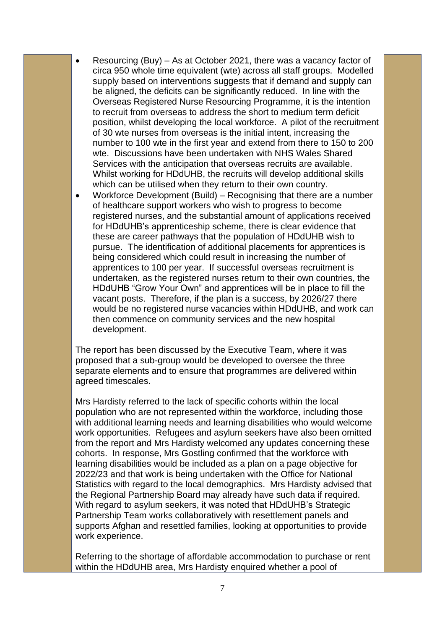- Resourcing (Buy) As at October 2021, there was a vacancy factor of circa 950 whole time equivalent (wte) across all staff groups. Modelled supply based on interventions suggests that if demand and supply can be aligned, the deficits can be significantly reduced. In line with the Overseas Registered Nurse Resourcing Programme, it is the intention to recruit from overseas to address the short to medium term deficit position, whilst developing the local workforce. A pilot of the recruitment of 30 wte nurses from overseas is the initial intent, increasing the number to 100 wte in the first year and extend from there to 150 to 200 wte. Discussions have been undertaken with NHS Wales Shared Services with the anticipation that overseas recruits are available. Whilst working for HDdUHB, the recruits will develop additional skills which can be utilised when they return to their own country.
- Workforce Development (Build) Recognising that there are a number of healthcare support workers who wish to progress to become registered nurses, and the substantial amount of applications received for HDdUHB's apprenticeship scheme, there is clear evidence that these are career pathways that the population of HDdUHB wish to pursue. The identification of additional placements for apprentices is being considered which could result in increasing the number of apprentices to 100 per year. If successful overseas recruitment is undertaken, as the registered nurses return to their own countries, the HDdUHB "Grow Your Own" and apprentices will be in place to fill the vacant posts. Therefore, if the plan is a success, by 2026/27 there would be no registered nurse vacancies within HDdUHB, and work can then commence on community services and the new hospital development.

The report has been discussed by the Executive Team, where it was proposed that a sub-group would be developed to oversee the three separate elements and to ensure that programmes are delivered within agreed timescales.

Mrs Hardisty referred to the lack of specific cohorts within the local population who are not represented within the workforce, including those with additional learning needs and learning disabilities who would welcome work opportunities. Refugees and asylum seekers have also been omitted from the report and Mrs Hardisty welcomed any updates concerning these cohorts. In response, Mrs Gostling confirmed that the workforce with learning disabilities would be included as a plan on a page objective for 2022/23 and that work is being undertaken with the Office for National Statistics with regard to the local demographics. Mrs Hardisty advised that the Regional Partnership Board may already have such data if required. With regard to asylum seekers, it was noted that HDdUHB's Strategic Partnership Team works collaboratively with resettlement panels and supports Afghan and resettled families, looking at opportunities to provide work experience.

Referring to the shortage of affordable accommodation to purchase or rent within the HDdUHB area, Mrs Hardisty enquired whether a pool of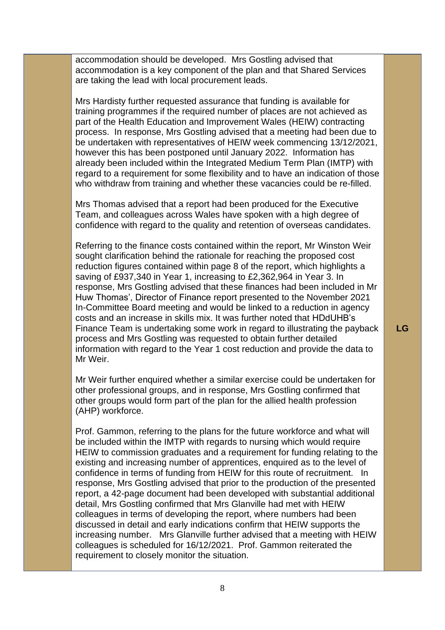accommodation should be developed. Mrs Gostling advised that accommodation is a key component of the plan and that Shared Services are taking the lead with local procurement leads.

Mrs Hardisty further requested assurance that funding is available for training programmes if the required number of places are not achieved as part of the Health Education and Improvement Wales (HEIW) contracting process. In response, Mrs Gostling advised that a meeting had been due to be undertaken with representatives of HEIW week commencing 13/12/2021, however this has been postponed until January 2022. Information has already been included within the Integrated Medium Term Plan (IMTP) with regard to a requirement for some flexibility and to have an indication of those who withdraw from training and whether these vacancies could be re-filled.

Mrs Thomas advised that a report had been produced for the Executive Team, and colleagues across Wales have spoken with a high degree of confidence with regard to the quality and retention of overseas candidates.

Referring to the finance costs contained within the report, Mr Winston Weir sought clarification behind the rationale for reaching the proposed cost reduction figures contained within page 8 of the report, which highlights a saving of £937,340 in Year 1, increasing to £2,362,964 in Year 3. In response, Mrs Gostling advised that these finances had been included in Mr Huw Thomas', Director of Finance report presented to the November 2021 In-Committee Board meeting and would be linked to a reduction in agency costs and an increase in skills mix. It was further noted that HDdUHB's Finance Team is undertaking some work in regard to illustrating the payback process and Mrs Gostling was requested to obtain further detailed information with regard to the Year 1 cost reduction and provide the data to Mr Weir.

Mr Weir further enquired whether a similar exercise could be undertaken for other professional groups, and in response, Mrs Gostling confirmed that other groups would form part of the plan for the allied health profession (AHP) workforce.

Prof. Gammon, referring to the plans for the future workforce and what will be included within the IMTP with regards to nursing which would require HEIW to commission graduates and a requirement for funding relating to the existing and increasing number of apprentices, enquired as to the level of confidence in terms of funding from HEIW for this route of recruitment. In response, Mrs Gostling advised that prior to the production of the presented report, a 42-page document had been developed with substantial additional detail, Mrs Gostling confirmed that Mrs Glanville had met with HEIW colleagues in terms of developing the report, where numbers had been discussed in detail and early indications confirm that HEIW supports the increasing number. Mrs Glanville further advised that a meeting with HEIW colleagues is scheduled for 16/12/2021. Prof. Gammon reiterated the requirement to closely monitor the situation.

**LG**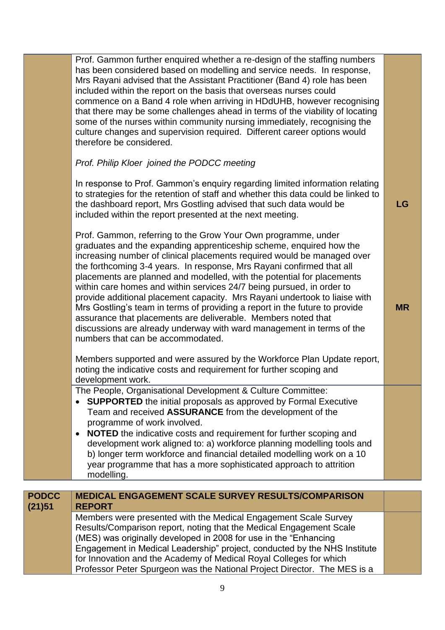|              | Prof. Gammon further enquired whether a re-design of the staffing numbers<br>has been considered based on modelling and service needs. In response,<br>Mrs Rayani advised that the Assistant Practitioner (Band 4) role has been<br>included within the report on the basis that overseas nurses could<br>commence on a Band 4 role when arriving in HDdUHB, however recognising<br>that there may be some challenges ahead in terms of the viability of locating<br>some of the nurses within community nursing immediately, recognising the<br>culture changes and supervision required. Different career options would<br>therefore be considered.<br>Prof. Philip Kloer joined the PODCC meeting                                                                                    |           |
|--------------|-----------------------------------------------------------------------------------------------------------------------------------------------------------------------------------------------------------------------------------------------------------------------------------------------------------------------------------------------------------------------------------------------------------------------------------------------------------------------------------------------------------------------------------------------------------------------------------------------------------------------------------------------------------------------------------------------------------------------------------------------------------------------------------------|-----------|
|              | In response to Prof. Gammon's enquiry regarding limited information relating<br>to strategies for the retention of staff and whether this data could be linked to<br>the dashboard report, Mrs Gostling advised that such data would be<br>included within the report presented at the next meeting.                                                                                                                                                                                                                                                                                                                                                                                                                                                                                    | <b>LG</b> |
|              | Prof. Gammon, referring to the Grow Your Own programme, under<br>graduates and the expanding apprenticeship scheme, enquired how the<br>increasing number of clinical placements required would be managed over<br>the forthcoming 3-4 years. In response, Mrs Rayani confirmed that all<br>placements are planned and modelled, with the potential for placements<br>within care homes and within services 24/7 being pursued, in order to<br>provide additional placement capacity. Mrs Rayani undertook to liaise with<br>Mrs Gostling's team in terms of providing a report in the future to provide<br>assurance that placements are deliverable. Members noted that<br>discussions are already underway with ward management in terms of the<br>numbers that can be accommodated. | <b>MR</b> |
|              | Members supported and were assured by the Workforce Plan Update report,<br>noting the indicative costs and requirement for further scoping and<br>development work.                                                                                                                                                                                                                                                                                                                                                                                                                                                                                                                                                                                                                     |           |
|              | The People, Organisational Development & Culture Committee:<br><b>SUPPORTED</b> the initial proposals as approved by Formal Executive<br>Team and received ASSURANCE from the development of the<br>programme of work involved.<br><b>NOTED</b> the indicative costs and requirement for further scoping and<br>development work aligned to: a) workforce planning modelling tools and<br>b) longer term workforce and financial detailed modelling work on a 10<br>year programme that has a more sophisticated approach to attrition<br>modelling.                                                                                                                                                                                                                                    |           |
| <b>PODCC</b> | MEDICAL ENGAGEMENT SCALE SURVEY RESULTS/COMPARISON                                                                                                                                                                                                                                                                                                                                                                                                                                                                                                                                                                                                                                                                                                                                      |           |
| (21)51       | <b>REPORT</b>                                                                                                                                                                                                                                                                                                                                                                                                                                                                                                                                                                                                                                                                                                                                                                           |           |
|              | Members were presented with the Medical Engagement Scale Survey<br>Results/Comparison report, noting that the Medical Engagement Scale<br>(MES) was originally developed in 2008 for use in the "Enhancing<br>Engagement in Medical Leadership" project, conducted by the NHS Institute<br>for Innovation and the Academy of Medical Royal Colleges for which<br>Professor Peter Spurgeon was the National Project Director. The MES is a                                                                                                                                                                                                                                                                                                                                               |           |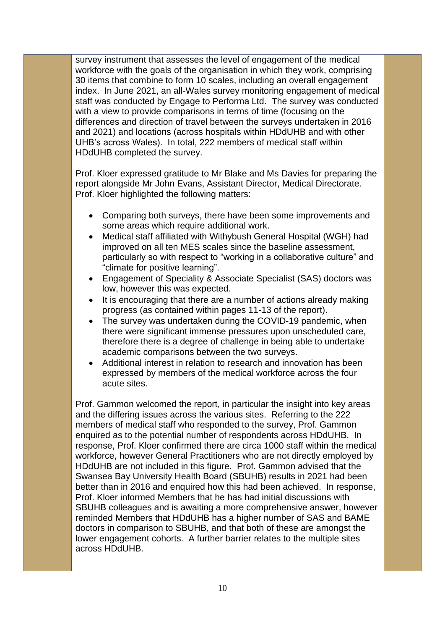survey instrument that assesses the level of engagement of the medical workforce with the goals of the organisation in which they work, comprising 30 items that combine to form 10 scales, including an overall engagement index. In June 2021, an all-Wales survey monitoring engagement of medical staff was conducted by Engage to Performa Ltd. The survey was conducted with a view to provide comparisons in terms of time (focusing on the differences and direction of travel between the surveys undertaken in 2016 and 2021) and locations (across hospitals within HDdUHB and with other UHB's across Wales). In total, 222 members of medical staff within HDdUHB completed the survey.

Prof. Kloer expressed gratitude to Mr Blake and Ms Davies for preparing the report alongside Mr John Evans, Assistant Director, Medical Directorate. Prof. Kloer highlighted the following matters:

- Comparing both surveys, there have been some improvements and some areas which require additional work.
- Medical staff affiliated with Withybush General Hospital (WGH) had improved on all ten MES scales since the baseline assessment, particularly so with respect to "working in a collaborative culture" and "climate for positive learning".
- Engagement of Speciality & Associate Specialist (SAS) doctors was low, however this was expected.
- It is encouraging that there are a number of actions already making progress (as contained within pages 11-13 of the report).
- The survey was undertaken during the COVID-19 pandemic, when there were significant immense pressures upon unscheduled care, therefore there is a degree of challenge in being able to undertake academic comparisons between the two surveys.
- Additional interest in relation to research and innovation has been expressed by members of the medical workforce across the four acute sites.

Prof. Gammon welcomed the report, in particular the insight into key areas and the differing issues across the various sites. Referring to the 222 members of medical staff who responded to the survey, Prof. Gammon enquired as to the potential number of respondents across HDdUHB. In response, Prof. Kloer confirmed there are circa 1000 staff within the medical workforce, however General Practitioners who are not directly employed by HDdUHB are not included in this figure. Prof. Gammon advised that the Swansea Bay University Health Board (SBUHB) results in 2021 had been better than in 2016 and enquired how this had been achieved. In response, Prof. Kloer informed Members that he has had initial discussions with SBUHB colleagues and is awaiting a more comprehensive answer, however reminded Members that HDdUHB has a higher number of SAS and BAME doctors in comparison to SBUHB, and that both of these are amongst the lower engagement cohorts. A further barrier relates to the multiple sites across HDdUHB.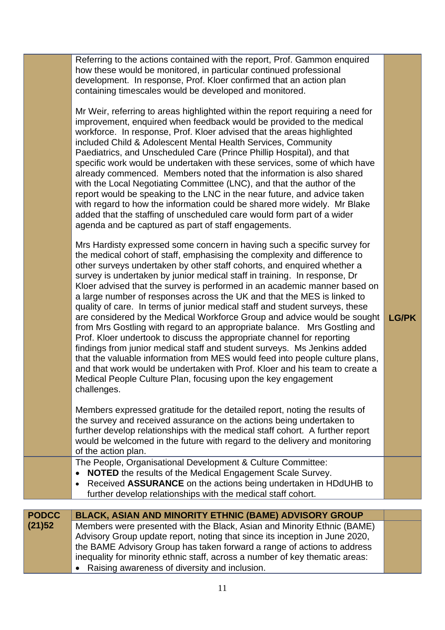|              | how these would be monitored, in particular continued professional<br>development. In response, Prof. Kloer confirmed that an action plan<br>containing timescales would be developed and monitored.<br>Mr Weir, referring to areas highlighted within the report requiring a need for<br>improvement, enquired when feedback would be provided to the medical<br>workforce. In response, Prof. Kloer advised that the areas highlighted<br>included Child & Adolescent Mental Health Services, Community<br>Paediatrics, and Unscheduled Care (Prince Phillip Hospital), and that<br>specific work would be undertaken with these services, some of which have<br>already commenced. Members noted that the information is also shared<br>with the Local Negotiating Committee (LNC), and that the author of the<br>report would be speaking to the LNC in the near future, and advice taken<br>with regard to how the information could be shared more widely. Mr Blake<br>added that the staffing of unscheduled care would form part of a wider<br>agenda and be captured as part of staff engagements.<br>Mrs Hardisty expressed some concern in having such a specific survey for<br>the medical cohort of staff, emphasising the complexity and difference to<br>other surveys undertaken by other staff cohorts, and enquired whether a<br>survey is undertaken by junior medical staff in training. In response, Dr<br>Kloer advised that the survey is performed in an academic manner based on<br>a large number of responses across the UK and that the MES is linked to<br>quality of care. In terms of junior medical staff and student surveys, these<br>are considered by the Medical Workforce Group and advice would be sought<br>from Mrs Gostling with regard to an appropriate balance. Mrs Gostling and<br>Prof. Kloer undertook to discuss the appropriate channel for reporting<br>findings from junior medical staff and student surveys. Ms Jenkins added<br>that the valuable information from MES would feed into people culture plans,<br>and that work would be undertaken with Prof. Kloer and his team to create a<br>Medical People Culture Plan, focusing upon the key engagement<br>challenges.<br>Members expressed gratitude for the detailed report, noting the results of<br>the survey and received assurance on the actions being undertaken to<br>further develop relationships with the medical staff cohort. A further report<br>would be welcomed in the future with regard to the delivery and monitoring<br>of the action plan.<br>The People, Organisational Development & Culture Committee:<br><b>NOTED</b> the results of the Medical Engagement Scale Survey.<br>Received ASSURANCE on the actions being undertaken in HDdUHB to<br>$\bullet$ | <b>LG/PK</b> |
|--------------|---------------------------------------------------------------------------------------------------------------------------------------------------------------------------------------------------------------------------------------------------------------------------------------------------------------------------------------------------------------------------------------------------------------------------------------------------------------------------------------------------------------------------------------------------------------------------------------------------------------------------------------------------------------------------------------------------------------------------------------------------------------------------------------------------------------------------------------------------------------------------------------------------------------------------------------------------------------------------------------------------------------------------------------------------------------------------------------------------------------------------------------------------------------------------------------------------------------------------------------------------------------------------------------------------------------------------------------------------------------------------------------------------------------------------------------------------------------------------------------------------------------------------------------------------------------------------------------------------------------------------------------------------------------------------------------------------------------------------------------------------------------------------------------------------------------------------------------------------------------------------------------------------------------------------------------------------------------------------------------------------------------------------------------------------------------------------------------------------------------------------------------------------------------------------------------------------------------------------------------------------------------------------------------------------------------------------------------------------------------------------------------------------------------------------------------------------------------------------------------------------------------------------------------------------------------------------------------------------------------------------------------------------------------------------------------------------------------------------------------------------------------------------------------------------|--------------|
|              | further develop relationships with the medical staff cohort.                                                                                                                                                                                                                                                                                                                                                                                                                                                                                                                                                                                                                                                                                                                                                                                                                                                                                                                                                                                                                                                                                                                                                                                                                                                                                                                                                                                                                                                                                                                                                                                                                                                                                                                                                                                                                                                                                                                                                                                                                                                                                                                                                                                                                                                                                                                                                                                                                                                                                                                                                                                                                                                                                                                                      |              |
| <b>PODCC</b> | BLACK, ASIAN AND MINORITY ETHNIC (BAME) ADVISORY GROUP                                                                                                                                                                                                                                                                                                                                                                                                                                                                                                                                                                                                                                                                                                                                                                                                                                                                                                                                                                                                                                                                                                                                                                                                                                                                                                                                                                                                                                                                                                                                                                                                                                                                                                                                                                                                                                                                                                                                                                                                                                                                                                                                                                                                                                                                                                                                                                                                                                                                                                                                                                                                                                                                                                                                            |              |
| (21)52       | Members were presented with the Black, Asian and Minority Ethnic (BAME)<br>Advisory Group update report, noting that since its inception in June 2020,<br>the BAME Advisory Group has taken forward a range of actions to address<br>inequality for minority ethnic staff, across a number of key thematic areas:<br>Raising awareness of diversity and inclusion.                                                                                                                                                                                                                                                                                                                                                                                                                                                                                                                                                                                                                                                                                                                                                                                                                                                                                                                                                                                                                                                                                                                                                                                                                                                                                                                                                                                                                                                                                                                                                                                                                                                                                                                                                                                                                                                                                                                                                                                                                                                                                                                                                                                                                                                                                                                                                                                                                                |              |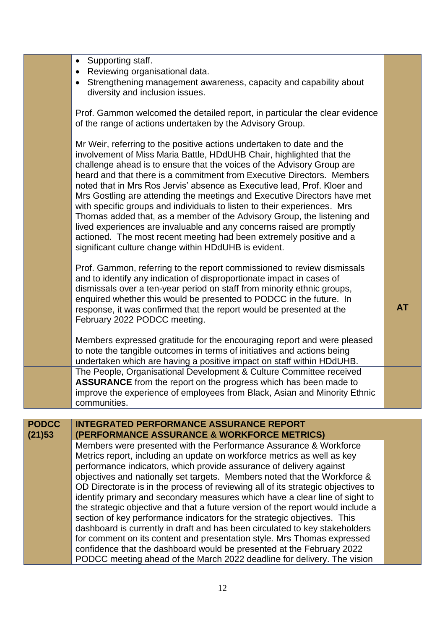|              | Supporting staff.<br>$\bullet$<br>Reviewing organisational data.<br>Strengthening management awareness, capacity and capability about<br>$\bullet$<br>diversity and inclusion issues.                                                                                                                                                                                                                                                                                                                                                                                                                                                                                                                                                                                                                                                                                                                                                            |           |
|--------------|--------------------------------------------------------------------------------------------------------------------------------------------------------------------------------------------------------------------------------------------------------------------------------------------------------------------------------------------------------------------------------------------------------------------------------------------------------------------------------------------------------------------------------------------------------------------------------------------------------------------------------------------------------------------------------------------------------------------------------------------------------------------------------------------------------------------------------------------------------------------------------------------------------------------------------------------------|-----------|
|              | Prof. Gammon welcomed the detailed report, in particular the clear evidence<br>of the range of actions undertaken by the Advisory Group.                                                                                                                                                                                                                                                                                                                                                                                                                                                                                                                                                                                                                                                                                                                                                                                                         |           |
|              | Mr Weir, referring to the positive actions undertaken to date and the<br>involvement of Miss Maria Battle, HDdUHB Chair, highlighted that the<br>challenge ahead is to ensure that the voices of the Advisory Group are<br>heard and that there is a commitment from Executive Directors. Members<br>noted that in Mrs Ros Jervis' absence as Executive lead, Prof. Kloer and<br>Mrs Gostling are attending the meetings and Executive Directors have met<br>with specific groups and individuals to listen to their experiences. Mrs<br>Thomas added that, as a member of the Advisory Group, the listening and<br>lived experiences are invaluable and any concerns raised are promptly<br>actioned. The most recent meeting had been extremely positive and a<br>significant culture change within HDdUHB is evident.                                                                                                                         |           |
|              | Prof. Gammon, referring to the report commissioned to review dismissals<br>and to identify any indication of disproportionate impact in cases of<br>dismissals over a ten-year period on staff from minority ethnic groups,<br>enquired whether this would be presented to PODCC in the future. In<br>response, it was confirmed that the report would be presented at the<br>February 2022 PODCC meeting.                                                                                                                                                                                                                                                                                                                                                                                                                                                                                                                                       | <b>AT</b> |
|              | Members expressed gratitude for the encouraging report and were pleased<br>to note the tangible outcomes in terms of initiatives and actions being<br>undertaken which are having a positive impact on staff within HDdUHB.                                                                                                                                                                                                                                                                                                                                                                                                                                                                                                                                                                                                                                                                                                                      |           |
|              | The People, Organisational Development & Culture Committee received<br><b>ASSURANCE</b> from the report on the progress which has been made to<br>improve the experience of employees from Black, Asian and Minority Ethnic<br>communities.                                                                                                                                                                                                                                                                                                                                                                                                                                                                                                                                                                                                                                                                                                      |           |
| <b>PODCC</b> | <b>INTEGRATED PERFORMANCE ASSURANCE REPORT</b>                                                                                                                                                                                                                                                                                                                                                                                                                                                                                                                                                                                                                                                                                                                                                                                                                                                                                                   |           |
| (21)53       | (PERFORMANCE ASSURANCE & WORKFORCE METRICS)                                                                                                                                                                                                                                                                                                                                                                                                                                                                                                                                                                                                                                                                                                                                                                                                                                                                                                      |           |
|              | Members were presented with the Performance Assurance & Workforce<br>Metrics report, including an update on workforce metrics as well as key<br>performance indicators, which provide assurance of delivery against<br>objectives and nationally set targets. Members noted that the Workforce &<br>OD Directorate is in the process of reviewing all of its strategic objectives to<br>identify primary and secondary measures which have a clear line of sight to<br>the strategic objective and that a future version of the report would include a<br>section of key performance indicators for the strategic objectives. This<br>dashboard is currently in draft and has been circulated to key stakeholders<br>for comment on its content and presentation style. Mrs Thomas expressed<br>confidence that the dashboard would be presented at the February 2022<br>PODCC meeting ahead of the March 2022 deadline for delivery. The vision |           |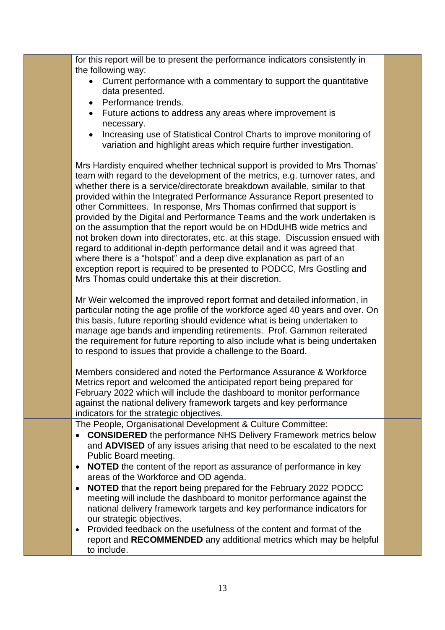for this report will be to present the performance indicators consistently in the following way:

- Current performance with a commentary to support the quantitative data presented.
- Performance trends.
- Future actions to address any areas where improvement is necessary.
- Increasing use of Statistical Control Charts to improve monitoring of variation and highlight areas which require further investigation.

Mrs Hardisty enquired whether technical support is provided to Mrs Thomas' team with regard to the development of the metrics, e.g. turnover rates, and whether there is a service/directorate breakdown available, similar to that provided within the Integrated Performance Assurance Report presented to other Committees. In response, Mrs Thomas confirmed that support is provided by the Digital and Performance Teams and the work undertaken is on the assumption that the report would be on HDdUHB wide metrics and not broken down into directorates, etc. at this stage. Discussion ensued with regard to additional in-depth performance detail and it was agreed that where there is a "hotspot" and a deep dive explanation as part of an exception report is required to be presented to PODCC, Mrs Gostling and Mrs Thomas could undertake this at their discretion.

Mr Weir welcomed the improved report format and detailed information, in particular noting the age profile of the workforce aged 40 years and over. On this basis, future reporting should evidence what is being undertaken to manage age bands and impending retirements. Prof. Gammon reiterated the requirement for future reporting to also include what is being undertaken to respond to issues that provide a challenge to the Board.

Members considered and noted the Performance Assurance & Workforce Metrics report and welcomed the anticipated report being prepared for February 2022 which will include the dashboard to monitor performance against the national delivery framework targets and key performance indicators for the strategic objectives.

The People, Organisational Development & Culture Committee:

- **CONSIDERED** the performance NHS Delivery Framework metrics below and **ADVISED** of any issues arising that need to be escalated to the next Public Board meeting.
- **NOTED** the content of the report as assurance of performance in key areas of the Workforce and OD agenda.
- **NOTED** that the report being prepared for the February 2022 PODCC meeting will include the dashboard to monitor performance against the national delivery framework targets and key performance indicators for our strategic objectives.
- Provided feedback on the usefulness of the content and format of the report and **RECOMMENDED** any additional metrics which may be helpful to include.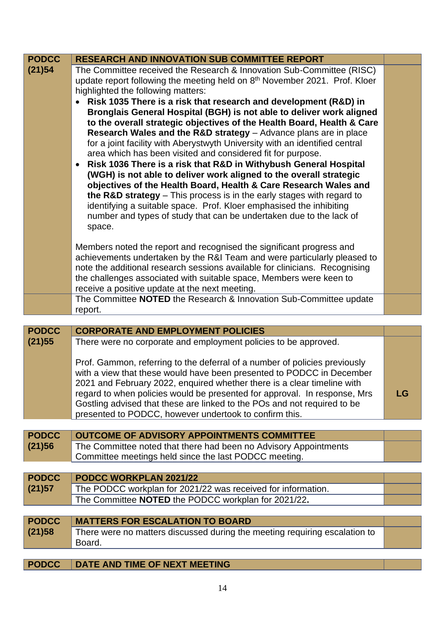| <b>PODCC</b>           | <b>RESEARCH AND INNOVATION SUB COMMITTEE REPORT</b>                                                                                                                                                                                                                                                                                                                                                                                                                                                                                                                                                                                                                                                                                                                                                                                                                                                                                                                                                                                                                                             |    |
|------------------------|-------------------------------------------------------------------------------------------------------------------------------------------------------------------------------------------------------------------------------------------------------------------------------------------------------------------------------------------------------------------------------------------------------------------------------------------------------------------------------------------------------------------------------------------------------------------------------------------------------------------------------------------------------------------------------------------------------------------------------------------------------------------------------------------------------------------------------------------------------------------------------------------------------------------------------------------------------------------------------------------------------------------------------------------------------------------------------------------------|----|
| (21)54                 | The Committee received the Research & Innovation Sub-Committee (RISC)<br>update report following the meeting held on 8th November 2021. Prof. Kloer<br>highlighted the following matters:<br>• Risk 1035 There is a risk that research and development (R&D) in<br>Bronglais General Hospital (BGH) is not able to deliver work aligned<br>to the overall strategic objectives of the Health Board, Health & Care<br>Research Wales and the R&D strategy - Advance plans are in place<br>for a joint facility with Aberystwyth University with an identified central<br>area which has been visited and considered fit for purpose.<br>Risk 1036 There is a risk that R&D in Withybush General Hospital<br>$\bullet$<br>(WGH) is not able to deliver work aligned to the overall strategic<br>objectives of the Health Board, Health & Care Research Wales and<br>the R&D strategy - This process is in the early stages with regard to<br>identifying a suitable space. Prof. Kloer emphasised the inhibiting<br>number and types of study that can be undertaken due to the lack of<br>space. |    |
|                        | Members noted the report and recognised the significant progress and<br>achievements undertaken by the R&I Team and were particularly pleased to<br>note the additional research sessions available for clinicians. Recognising<br>the challenges associated with suitable space, Members were keen to<br>receive a positive update at the next meeting.                                                                                                                                                                                                                                                                                                                                                                                                                                                                                                                                                                                                                                                                                                                                        |    |
|                        | The Committee NOTED the Research & Innovation Sub-Committee update<br>report.                                                                                                                                                                                                                                                                                                                                                                                                                                                                                                                                                                                                                                                                                                                                                                                                                                                                                                                                                                                                                   |    |
|                        |                                                                                                                                                                                                                                                                                                                                                                                                                                                                                                                                                                                                                                                                                                                                                                                                                                                                                                                                                                                                                                                                                                 |    |
|                        |                                                                                                                                                                                                                                                                                                                                                                                                                                                                                                                                                                                                                                                                                                                                                                                                                                                                                                                                                                                                                                                                                                 |    |
| <b>PODCC</b>           | <b>CORPORATE AND EMPLOYMENT POLICIES</b>                                                                                                                                                                                                                                                                                                                                                                                                                                                                                                                                                                                                                                                                                                                                                                                                                                                                                                                                                                                                                                                        |    |
| (21)55                 | There were no corporate and employment policies to be approved.                                                                                                                                                                                                                                                                                                                                                                                                                                                                                                                                                                                                                                                                                                                                                                                                                                                                                                                                                                                                                                 |    |
|                        | Prof. Gammon, referring to the deferral of a number of policies previously<br>with a view that these would have been presented to PODCC in December<br>2021 and February 2022, enquired whether there is a clear timeline with<br>regard to when policies would be presented for approval. In response, Mrs<br>Gostling advised that these are linked to the POs and not required to be<br>presented to PODCC, however undertook to confirm this.                                                                                                                                                                                                                                                                                                                                                                                                                                                                                                                                                                                                                                               | LG |
|                        |                                                                                                                                                                                                                                                                                                                                                                                                                                                                                                                                                                                                                                                                                                                                                                                                                                                                                                                                                                                                                                                                                                 |    |
| <b>PODCC</b><br>(21)56 | <b>OUTCOME OF ADVISORY APPOINTMENTS COMMITTEE</b><br>The Committee noted that there had been no Advisory Appointments<br>Committee meetings held since the last PODCC meeting.                                                                                                                                                                                                                                                                                                                                                                                                                                                                                                                                                                                                                                                                                                                                                                                                                                                                                                                  |    |
|                        |                                                                                                                                                                                                                                                                                                                                                                                                                                                                                                                                                                                                                                                                                                                                                                                                                                                                                                                                                                                                                                                                                                 |    |
| <b>PODCC</b>           | <b>PODCC WORKPLAN 2021/22</b>                                                                                                                                                                                                                                                                                                                                                                                                                                                                                                                                                                                                                                                                                                                                                                                                                                                                                                                                                                                                                                                                   |    |
| (21)57                 | The PODCC workplan for 2021/22 was received for information.                                                                                                                                                                                                                                                                                                                                                                                                                                                                                                                                                                                                                                                                                                                                                                                                                                                                                                                                                                                                                                    |    |
|                        | The Committee NOTED the PODCC workplan for 2021/22.                                                                                                                                                                                                                                                                                                                                                                                                                                                                                                                                                                                                                                                                                                                                                                                                                                                                                                                                                                                                                                             |    |
|                        |                                                                                                                                                                                                                                                                                                                                                                                                                                                                                                                                                                                                                                                                                                                                                                                                                                                                                                                                                                                                                                                                                                 |    |
| <b>PODCC</b>           | <b>MATTERS FOR ESCALATION TO BOARD</b>                                                                                                                                                                                                                                                                                                                                                                                                                                                                                                                                                                                                                                                                                                                                                                                                                                                                                                                                                                                                                                                          |    |
| (21)58                 | There were no matters discussed during the meeting requiring escalation to<br>Board.                                                                                                                                                                                                                                                                                                                                                                                                                                                                                                                                                                                                                                                                                                                                                                                                                                                                                                                                                                                                            |    |
| <b>PODCC</b>           | DATE AND TIME OF NEXT MEETING                                                                                                                                                                                                                                                                                                                                                                                                                                                                                                                                                                                                                                                                                                                                                                                                                                                                                                                                                                                                                                                                   |    |